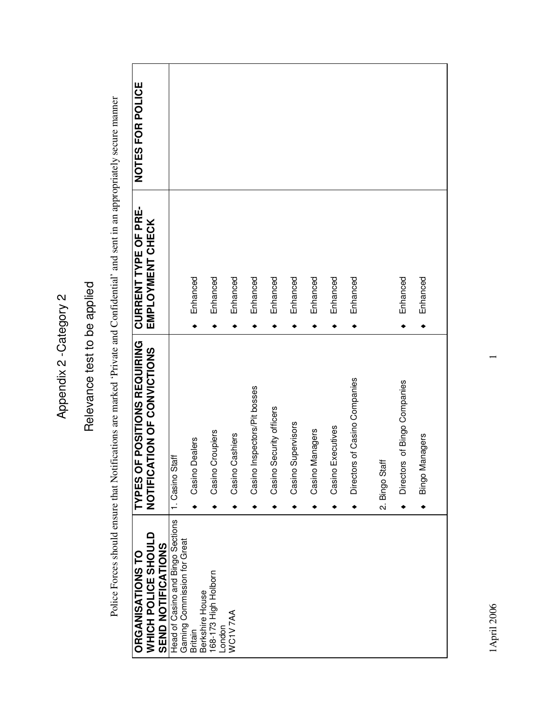# Relevance test to be applied Relevance test to be applied

Police Forces should ensure that Notifications are marked 'Private and Confidential' and sent in an appropriately secure manner Police Forces should ensure that Notifications are marked 'Private and Confidential' and sent in an appropriately secure manner

| NOTES FOR POLICE                                                   |                                                                  |                                   |                                |                    |                              |                             |                       |                    |                      |                               |                |                                   |                          |  |
|--------------------------------------------------------------------|------------------------------------------------------------------|-----------------------------------|--------------------------------|--------------------|------------------------------|-----------------------------|-----------------------|--------------------|----------------------|-------------------------------|----------------|-----------------------------------|--------------------------|--|
| <b>CURRENT TYPE OF PRE-</b><br>EMPLOYMENT CHECK                    |                                                                  | Enhanced                          | Enhanced                       | Enhanced           | Enhanced                     | Enhanced                    | Enhanced              | Enhanced           | Enhanced             | Enhanced                      |                | Enhanced<br>٠                     | Enhanced<br>٠            |  |
| TYPES OF POSITIONS REQUIRING<br>NOTIFICATION OF CONVICTIONS        | 1. Casino Staff                                                  | <b>Dealers</b><br>Casino          | Croupiers<br>Casino            | Cashiers<br>Casino | Casino Inspectors/Pit bosses | Security officers<br>Casino | Supervisors<br>Casino | Managers<br>Casino | Executives<br>Casino | Directors of Casino Companies | 2. Bingo Staff | Directors of Bingo Companies<br>٠ | Managers<br>Bingo I<br>٠ |  |
| WHICH POLICE SHOULD<br>SEND NOTICATIONS<br><b>ORGANISATIONS TO</b> | Head of Casino and Bingo Sections<br>Gaming Commission for Great | Berkshire House<br><b>Britain</b> | 168-173 High Holborn<br>London | WC1V7AA            |                              |                             |                       |                    |                      |                               |                |                                   |                          |  |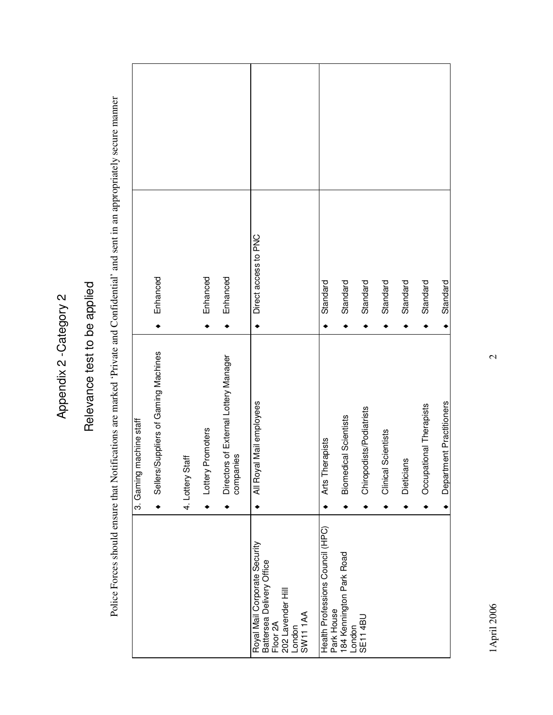# Relevance test to be applied Relevance test to be applied

Police Forces should ensure that Notifications are marked 'Private and Confidential' and sent in an appropriately secure manner Police Forces should ensure that Notifications are marked 'Private and Confidential' and sent in an appropriately secure manner

|                            | Enhanced                             |                  | Enhanced          | Enhanced                                           | Direct access to PNC                                                                                                         | Standard                                       | Standard                           | Standard                 | Standard            | Standard   | Standard                | Standard                 |
|----------------------------|--------------------------------------|------------------|-------------------|----------------------------------------------------|------------------------------------------------------------------------------------------------------------------------------|------------------------------------------------|------------------------------------|--------------------------|---------------------|------------|-------------------------|--------------------------|
| machine staff<br>3. Gaming | Sellers/Suppliers of Gaming Machines | 4. Lottery Staff | Lottery Promoters | Directors of External Lottery Manager<br>companies | All Royal Mail employees                                                                                                     | Arts Therapists                                | <b>Biomedical Scientists</b>       | Chiropodists/Podiatrists | Clinical Scientists | Dieticians | Occupational Therapists | Department Practitioners |
|                            |                                      |                  |                   |                                                    | Royal Mail Corporate Security<br>Battersea Delivery Office<br>202 Lavender Hill<br>London<br>SW11 1AA<br>Floor <sub>2A</sub> | Health Professions Council (HPC)<br>Park House | 184 Kennington Park Road<br>London | <b>SE114BL</b>           |                     |            |                         |                          |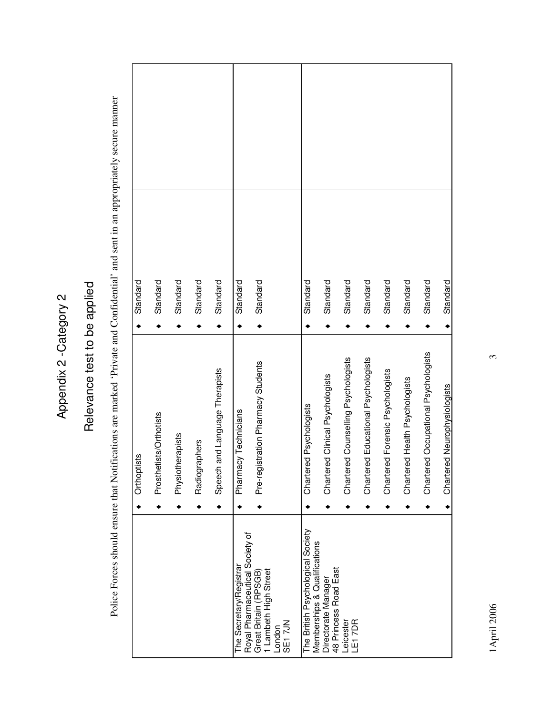# Relevance test to be applied Relevance test to be applied

Police Forces should ensure that Notifications are marked 'Private and Confidential' and sent in an appropriately secure manner Police Forces should ensure that Notifications are marked 'Private and Confidential' and sent in an appropriately secure manner

| Standard<br>Orthoptists | Standard<br>Prosthetists/Orthotists | Standard<br>Physiotherapists | Standard<br>Radiographers | Standard<br>Speech and Language Therapists | Standard<br>Pharmacy Technicians | Standard<br>Pre-registration Pharmacy Students                                                        | Standard<br>Chartered Psychologists                               | Standard<br>Chartered Clinical Psychologists | Standard<br>Chartered Counselling Psychologists | Standard<br>Chartered Educational Psychologists | Standard<br>Chartered Forensic Psychologists | Standard<br>Chartered Health Psychologists | Standard<br>Chartered Occupational Psychologists |                              |
|-------------------------|-------------------------------------|------------------------------|---------------------------|--------------------------------------------|----------------------------------|-------------------------------------------------------------------------------------------------------|-------------------------------------------------------------------|----------------------------------------------|-------------------------------------------------|-------------------------------------------------|----------------------------------------------|--------------------------------------------|--------------------------------------------------|------------------------------|
|                         |                                     |                              |                           |                                            |                                  |                                                                                                       |                                                                   |                                              |                                                 |                                                 |                                              |                                            |                                                  | Chartered Neurophysiologists |
|                         |                                     |                              |                           |                                            |                                  |                                                                                                       |                                                                   |                                              |                                                 |                                                 |                                              |                                            |                                                  |                              |
|                         |                                     |                              |                           |                                            | The Secretary/Registran          | Royal Pharmaceutical Society of<br>Great Britain (RPSGB)<br>1 Lambeth High Street<br>SE17JN<br>London | The British Psychological Society<br>Memberships & Qualifications | 48 Princess Road East<br>Directorate Manager | Leicester<br><b>E17DR</b>                       |                                                 |                                              |                                            |                                                  |                              |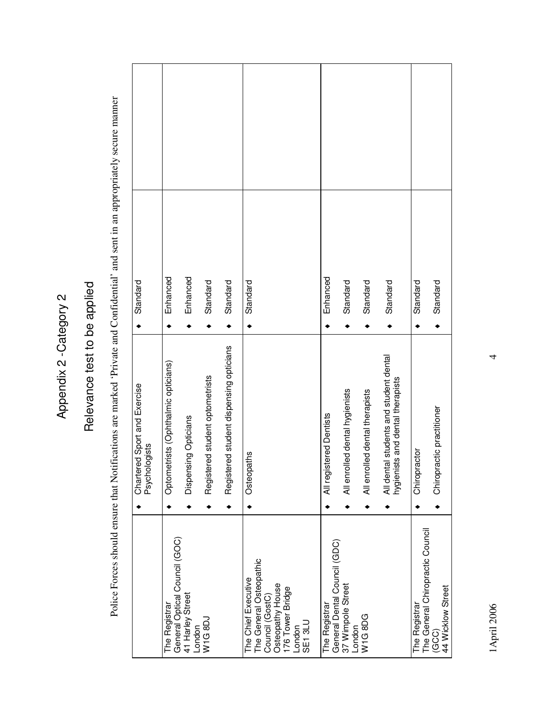# Relevance test to be applied Relevance test to be applied

Police Forces should ensure that Notifications are marked 'Private and Confidential' and sent in an appropriately secure manner Police Forces should ensure that Notifications are marked 'Private and Confidential' and sent in an appropriately secure manner

| Standard                                      | Enhanced                                       | Enhanced                   | Standard                            | Standard                                    | Standard                                                                                                                      | Enhanced                                      | Standard                       | Standard                       | Standard                                                                   | Standard      | Standard                                                       |
|-----------------------------------------------|------------------------------------------------|----------------------------|-------------------------------------|---------------------------------------------|-------------------------------------------------------------------------------------------------------------------------------|-----------------------------------------------|--------------------------------|--------------------------------|----------------------------------------------------------------------------|---------------|----------------------------------------------------------------|
| Chartered Sport and Exercise<br>Psychologists | etrists (Ophthalmic opticians)<br>Optom        | Dispensing Opticians       | ered student optometrists<br>Regist | ered student dispensing opticians<br>Regist | Osteopaths                                                                                                                    | All registered Dentists                       | All enrolled dental hygienists | All enrolled dental therapists | All dental students and student dental<br>hygienists and dental therapists | Chiropractor  | Chiropractic practitioner                                      |
|                                               | General Optical Council (GOC)<br>The Registrar | 41 Harley Street<br>London | W1G8DJ                              |                                             | The General Osteopathic<br>The Chief Executive<br>Osteopathy House<br>176 Tower Bridge<br>Council (GostC)<br>SE13LU<br>London | General Dental Council (GDC)<br>The Registrar | 37 Wimpole Street<br>London    | W1G8DG                         |                                                                            | The Registrar | The General Chiropractic Council<br>44 Wicklow Street<br>(GCG) |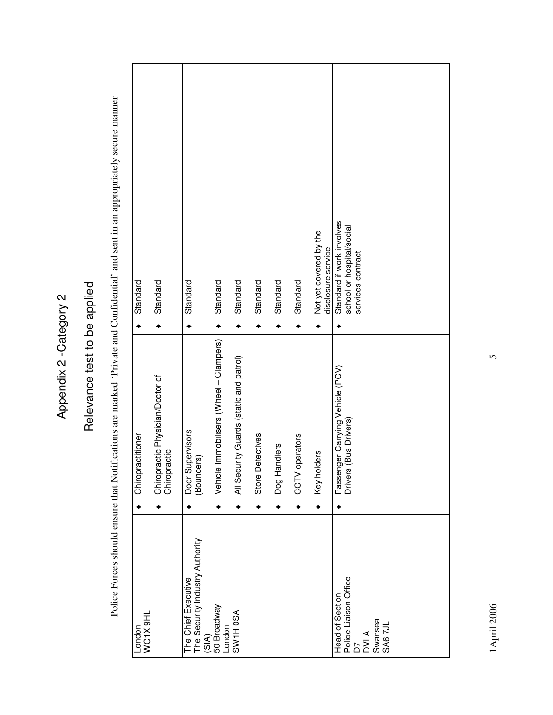# Relevance test to be applied Relevance test to be applied

Police Forces should ensure that Notifications are marked 'Private and Confidential' and sent in an appropriately secure manner Police Forces should ensure that Notifications are marked 'Private and Confidential' and sent in an appropriately secure manner

| Chiropractitioner<br>WC1X 9HL<br>London |                                                  | Door Supervisors<br>(Bouncers)<br>The Chief Executive | The Security Industry Authority<br>(SIA)<br>50 Broadway | London<br>SW1H 0SA                      | Store I    | Dog Handlers | CCTV operators | Key holders                                  | Head of Section<br>Police Liaison Office<br>D7<br>SWansea<br>SM6 7JL        |
|-----------------------------------------|--------------------------------------------------|-------------------------------------------------------|---------------------------------------------------------|-----------------------------------------|------------|--------------|----------------|----------------------------------------------|-----------------------------------------------------------------------------|
|                                         | Chiropractic Physician/Doctor of<br>Chiropractic |                                                       | Vehicle Immobilisers (Wheel - Clampers)                 | All Security Guards (static and patrol) | Detectives |              |                |                                              | Passenger Carrying Vehicle (PCV)<br>Drivers (Bus Drivers)                   |
| Standard                                | Standard                                         | Standard                                              | Standard                                                | Standard                                | Standard   | Standard     | Standard       | Not yet covered by the<br>disclosure service | Standard if work involves<br>school or hospital/social<br>services contract |
|                                         |                                                  |                                                       |                                                         |                                         |            |              |                |                                              |                                                                             |